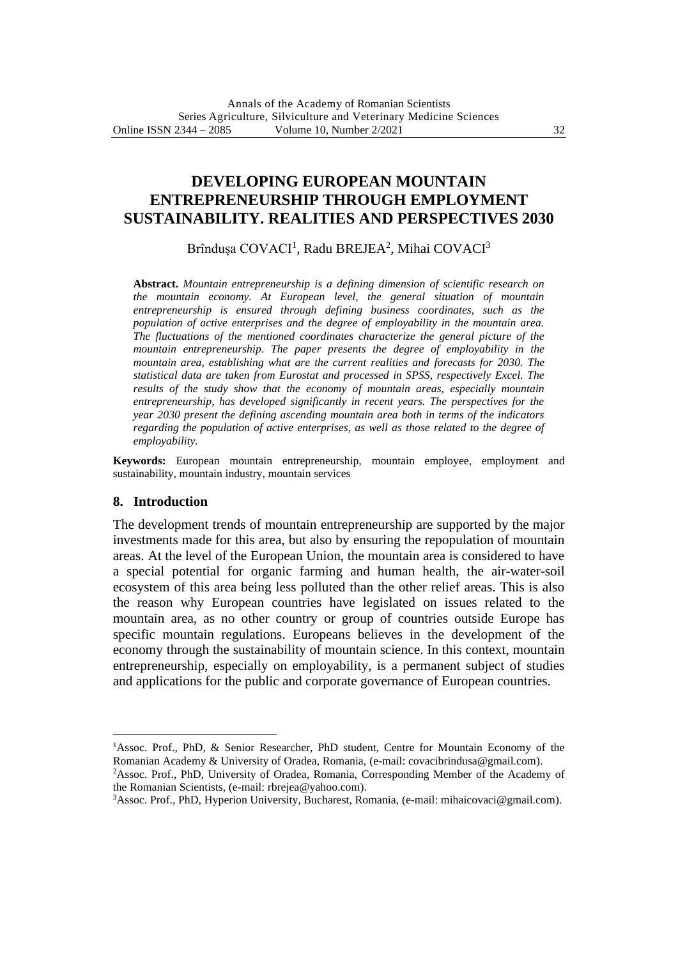# **DEVELOPING EUROPEAN MOUNTAIN ENTREPRENEURSHIP THROUGH EMPLOYMENT SUSTAINABILITY. REALITIES AND PERSPECTIVES 2030**

Brîndușa COVACI<sup>1</sup>, Radu BREJEA<sup>2</sup>, Mihai COVACI<sup>3</sup>

**Abstract.** *Mountain entrepreneurship is a defining dimension of scientific research on the mountain economy. At European level, the general situation of mountain entrepreneurship is ensured through defining business coordinates, such as the population of active enterprises and the degree of employability in the mountain area. The fluctuations of the mentioned coordinates characterize the general picture of the mountain entrepreneurship. The paper presents the degree of employability in the mountain area, establishing what are the current realities and forecasts for 2030. The statistical data are taken from Eurostat and processed in SPSS, respectively Excel. The results of the study show that the economy of mountain areas, especially mountain entrepreneurship, has developed significantly in recent years. The perspectives for the year 2030 present the defining ascending mountain area both in terms of the indicators regarding the population of active enterprises, as well as those related to the degree of employability.*

**Keywords:** European mountain entrepreneurship, mountain employee, employment and sustainability, mountain industry, mountain services

### **8. Introduction**

The development trends of mountain entrepreneurship are supported by the major investments made for this area, but also by ensuring the repopulation of mountain areas. At the level of the European Union, the mountain area is considered to have a special potential for organic farming and human health, the air-water-soil ecosystem of this area being less polluted than the other relief areas. This is also the reason why European countries have legislated on issues related to the mountain area, as no other country or group of countries outside Europe has specific mountain regulations. Europeans believes in the development of the economy through the sustainability of mountain science. In this context, mountain entrepreneurship, especially on employability, is a permanent subject of studies and applications for the public and corporate governance of European countries.

<sup>1</sup>Assoc. Prof., PhD, & Senior Researcher, PhD student, Centre for Mountain Economy of the Romanian Academy & University of Oradea, Romania, (e-mail: covacibrindusa@gmail.com).

<sup>2</sup>Assoc. Prof., PhD, University of Oradea, Romania, Corresponding Member of the Academy of the Romanian Scientists, (e-mail: rbrejea@yahoo.com).

<sup>3</sup>Assoc. Prof., PhD, Hyperion University, Bucharest, Romania, (e-mail: mihaicovaci@gmail.com).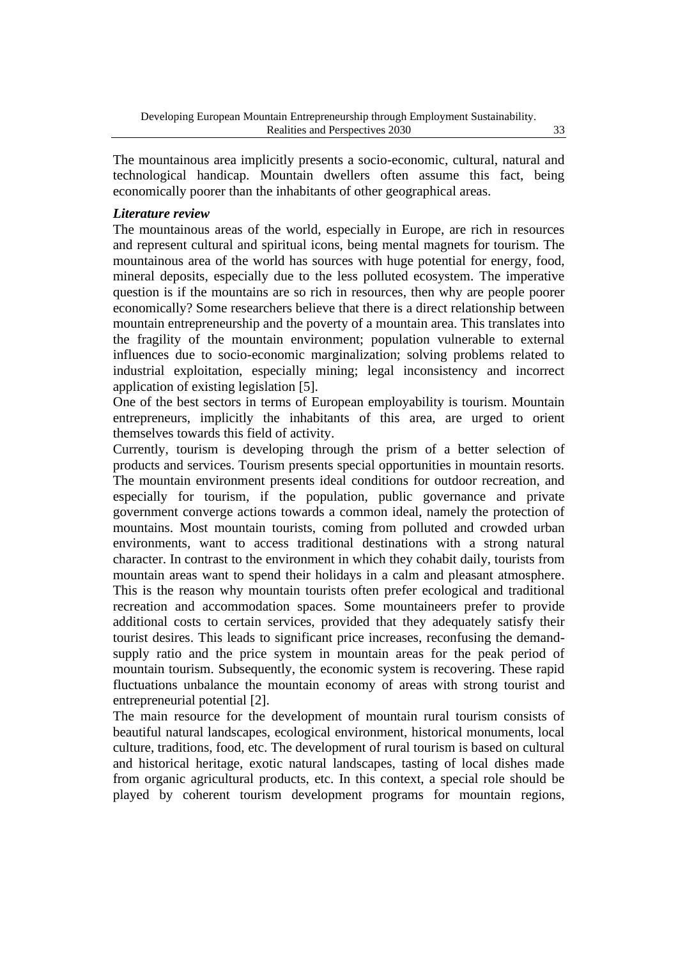The mountainous area implicitly presents a socio-economic, cultural, natural and technological handicap. Mountain dwellers often assume this fact, being economically poorer than the inhabitants of other geographical areas.

### *Literature review*

The mountainous areas of the world, especially in Europe, are rich in resources and represent cultural and spiritual icons, being mental magnets for tourism. The mountainous area of the world has sources with huge potential for energy, food, mineral deposits, especially due to the less polluted ecosystem. The imperative question is if the mountains are so rich in resources, then why are people poorer economically? Some researchers believe that there is a direct relationship between mountain entrepreneurship and the poverty of a mountain area. This translates into the fragility of the mountain environment; population vulnerable to external influences due to socio-economic marginalization; solving problems related to industrial exploitation, especially mining; legal inconsistency and incorrect application of existing legislation [5].

One of the best sectors in terms of European employability is tourism. Mountain entrepreneurs, implicitly the inhabitants of this area, are urged to orient themselves towards this field of activity.

Currently, tourism is developing through the prism of a better selection of products and services. Tourism presents special opportunities in mountain resorts. The mountain environment presents ideal conditions for outdoor recreation, and especially for tourism, if the population, public governance and private government converge actions towards a common ideal, namely the protection of mountains. Most mountain tourists, coming from polluted and crowded urban environments, want to access traditional destinations with a strong natural character. In contrast to the environment in which they cohabit daily, tourists from mountain areas want to spend their holidays in a calm and pleasant atmosphere. This is the reason why mountain tourists often prefer ecological and traditional recreation and accommodation spaces. Some mountaineers prefer to provide additional costs to certain services, provided that they adequately satisfy their tourist desires. This leads to significant price increases, reconfusing the demandsupply ratio and the price system in mountain areas for the peak period of mountain tourism. Subsequently, the economic system is recovering. These rapid fluctuations unbalance the mountain economy of areas with strong tourist and entrepreneurial potential [2].

The main resource for the development of mountain rural tourism consists of beautiful natural landscapes, ecological environment, historical monuments, local culture, traditions, food, etc. The development of rural tourism is based on cultural and historical heritage, exotic natural landscapes, tasting of local dishes made from organic agricultural products, etc. In this context, a special role should be played by coherent tourism development programs for mountain regions,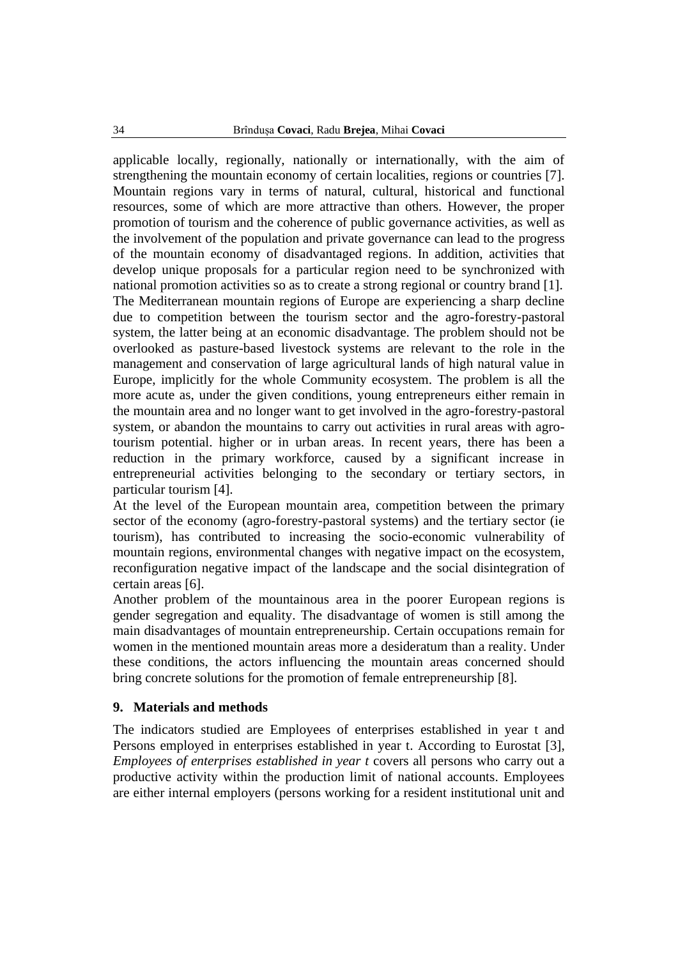applicable locally, regionally, nationally or internationally, with the aim of strengthening the mountain economy of certain localities, regions or countries [7]. Mountain regions vary in terms of natural, cultural, historical and functional resources, some of which are more attractive than others. However, the proper promotion of tourism and the coherence of public governance activities, as well as the involvement of the population and private governance can lead to the progress of the mountain economy of disadvantaged regions. In addition, activities that develop unique proposals for a particular region need to be synchronized with national promotion activities so as to create a strong regional or country brand [1]. The Mediterranean mountain regions of Europe are experiencing a sharp decline due to competition between the tourism sector and the agro-forestry-pastoral system, the latter being at an economic disadvantage. The problem should not be overlooked as pasture-based livestock systems are relevant to the role in the management and conservation of large agricultural lands of high natural value in Europe, implicitly for the whole Community ecosystem. The problem is all the more acute as, under the given conditions, young entrepreneurs either remain in the mountain area and no longer want to get involved in the agro-forestry-pastoral system, or abandon the mountains to carry out activities in rural areas with agrotourism potential. higher or in urban areas. In recent years, there has been a reduction in the primary workforce, caused by a significant increase in entrepreneurial activities belonging to the secondary or tertiary sectors, in particular tourism [4].

At the level of the European mountain area, competition between the primary sector of the economy (agro-forestry-pastoral systems) and the tertiary sector (ie tourism), has contributed to increasing the socio-economic vulnerability of mountain regions, environmental changes with negative impact on the ecosystem, reconfiguration negative impact of the landscape and the social disintegration of certain areas [6].

Another problem of the mountainous area in the poorer European regions is gender segregation and equality. The disadvantage of women is still among the main disadvantages of mountain entrepreneurship. Certain occupations remain for women in the mentioned mountain areas more a desideratum than a reality. Under these conditions, the actors influencing the mountain areas concerned should bring concrete solutions for the promotion of female entrepreneurship [8].

### **9. Materials and methods**

The indicators studied are Employees of enterprises established in year t and Persons employed in enterprises established in year t. According to Eurostat [3], *Employees of enterprises established in year t* covers all persons who carry out a productive activity within the production limit of national accounts. Employees are either internal employers (persons working for a resident institutional unit and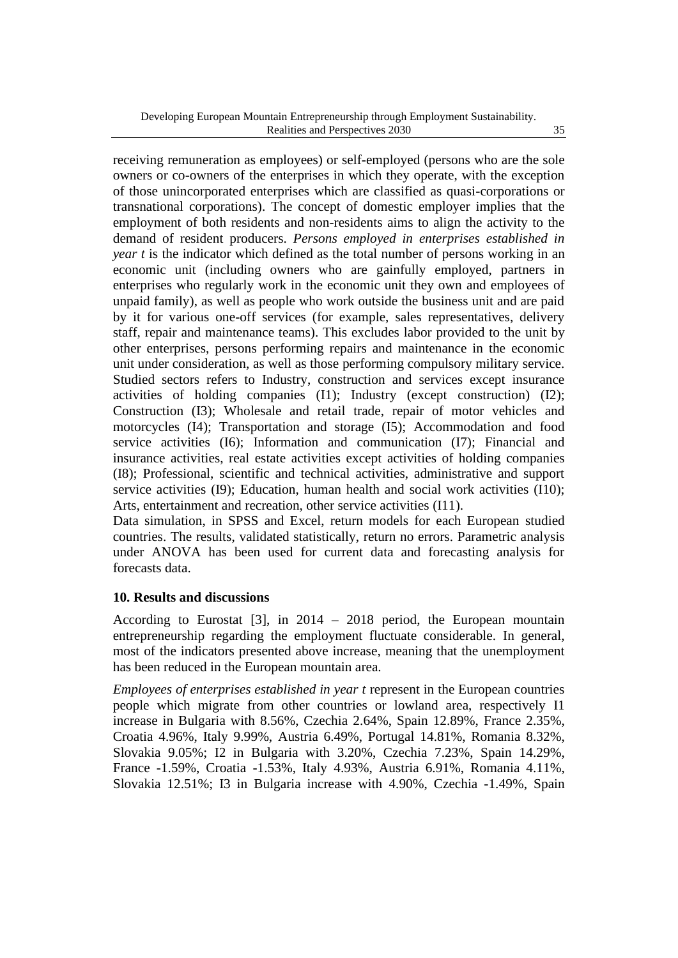receiving remuneration as employees) or self-employed (persons who are the sole owners or co-owners of the enterprises in which they operate, with the exception of those unincorporated enterprises which are classified as quasi-corporations or transnational corporations). The concept of domestic employer implies that the employment of both residents and non-residents aims to align the activity to the demand of resident producers. *Persons employed in enterprises established in year t* is the indicator which defined as the total number of persons working in an economic unit (including owners who are gainfully employed, partners in enterprises who regularly work in the economic unit they own and employees of unpaid family), as well as people who work outside the business unit and are paid by it for various one-off services (for example, sales representatives, delivery staff, repair and maintenance teams). This excludes labor provided to the unit by other enterprises, persons performing repairs and maintenance in the economic unit under consideration, as well as those performing compulsory military service. Studied sectors refers to Industry, construction and services except insurance activities of holding companies (I1); Industry (except construction) (I2); Construction (I3); Wholesale and retail trade, repair of motor vehicles and motorcycles (I4); Transportation and storage (I5); Accommodation and food service activities (I6); Information and communication (I7); Financial and insurance activities, real estate activities except activities of holding companies (I8); Professional, scientific and technical activities, administrative and support service activities (I9); Education, human health and social work activities (I10); Arts, entertainment and recreation, other service activities (I11).

Data simulation, in SPSS and Excel, return models for each European studied countries. The results, validated statistically, return no errors. Parametric analysis under ANOVA has been used for current data and forecasting analysis for forecasts data.

### **10. Results and discussions**

According to Eurostat [3], in  $2014 - 2018$  period, the European mountain entrepreneurship regarding the employment fluctuate considerable. In general, most of the indicators presented above increase, meaning that the unemployment has been reduced in the European mountain area.

*Employees of enterprises established in year t* represent in the European countries people which migrate from other countries or lowland area, respectively I1 increase in Bulgaria with 8.56%, Czechia 2.64%, Spain 12.89%, France 2.35%, Croatia 4.96%, Italy 9.99%, Austria 6.49%, Portugal 14.81%, Romania 8.32%, Slovakia 9.05%; I2 in Bulgaria with 3.20%, Czechia 7.23%, Spain 14.29%, France -1.59%, Croatia -1.53%, Italy 4.93%, Austria 6.91%, Romania 4.11%, Slovakia 12.51%; I3 in Bulgaria increase with 4.90%, Czechia -1.49%, Spain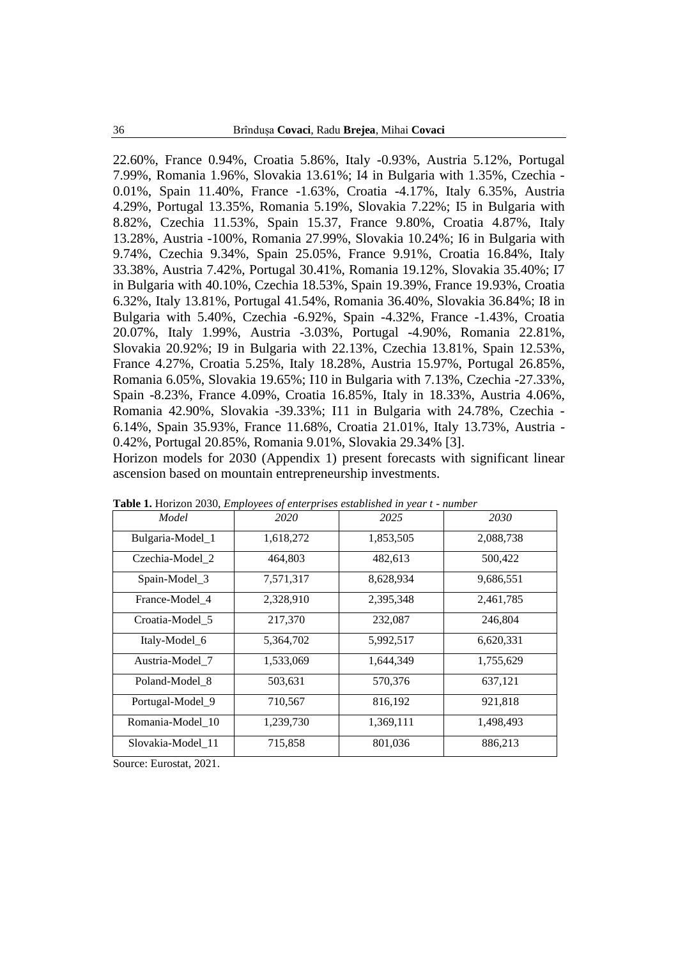22.60%, France 0.94%, Croatia 5.86%, Italy -0.93%, Austria 5.12%, Portugal 7.99%, Romania 1.96%, Slovakia 13.61%; I4 in Bulgaria with 1.35%, Czechia - 0.01%, Spain 11.40%, France -1.63%, Croatia -4.17%, Italy 6.35%, Austria 4.29%, Portugal 13.35%, Romania 5.19%, Slovakia 7.22%; I5 in Bulgaria with 8.82%, Czechia 11.53%, Spain 15.37, France 9.80%, Croatia 4.87%, Italy 13.28%, Austria -100%, Romania 27.99%, Slovakia 10.24%; I6 in Bulgaria with 9.74%, Czechia 9.34%, Spain 25.05%, France 9.91%, Croatia 16.84%, Italy 33.38%, Austria 7.42%, Portugal 30.41%, Romania 19.12%, Slovakia 35.40%; I7 in Bulgaria with 40.10%, Czechia 18.53%, Spain 19.39%, France 19.93%, Croatia 6.32%, Italy 13.81%, Portugal 41.54%, Romania 36.40%, Slovakia 36.84%; I8 in Bulgaria with 5.40%, Czechia -6.92%, Spain -4.32%, France -1.43%, Croatia 20.07%, Italy 1.99%, Austria -3.03%, Portugal -4.90%, Romania 22.81%, Slovakia 20.92%; I9 in Bulgaria with 22.13%, Czechia 13.81%, Spain 12.53%, France 4.27%, Croatia 5.25%, Italy 18.28%, Austria 15.97%, Portugal 26.85%, Romania 6.05%, Slovakia 19.65%; I10 in Bulgaria with 7.13%, Czechia -27.33%, Spain -8.23%, France 4.09%, Croatia 16.85%, Italy in 18.33%, Austria 4.06%, Romania 42.90%, Slovakia -39.33%; I11 in Bulgaria with 24.78%, Czechia - 6.14%, Spain 35.93%, France 11.68%, Croatia 21.01%, Italy 13.73%, Austria - 0.42%, Portugal 20.85%, Romania 9.01%, Slovakia 29.34% [3].

Horizon models for 2030 (Appendix 1) present forecasts with significant linear ascension based on mountain entrepreneurship investments.

| Model             | 2020      | 2025      | 2030      |
|-------------------|-----------|-----------|-----------|
| Bulgaria-Model_1  | 1,618,272 | 1,853,505 | 2,088,738 |
| Czechia-Model 2   | 464,803   | 482,613   | 500,422   |
| Spain-Model_3     | 7,571,317 | 8,628,934 | 9,686,551 |
| France-Model 4    | 2,328,910 | 2,395,348 | 2,461,785 |
| Croatia-Model 5   | 217,370   | 232,087   | 246,804   |
| Italy-Model_6     | 5,364,702 | 5,992,517 | 6,620,331 |
| Austria-Model 7   | 1,533,069 | 1,644,349 | 1,755,629 |
| Poland-Model 8    | 503,631   | 570,376   | 637,121   |
| Portugal-Model 9  | 710,567   | 816,192   | 921,818   |
| Romania-Model_10  | 1,239,730 | 1,369,111 | 1,498,493 |
| Slovakia-Model 11 | 715,858   | 801,036   | 886,213   |

**Table 1.** Horizon 2030, *Employees of enterprises established in year t - number*

Source: Eurostat, 2021.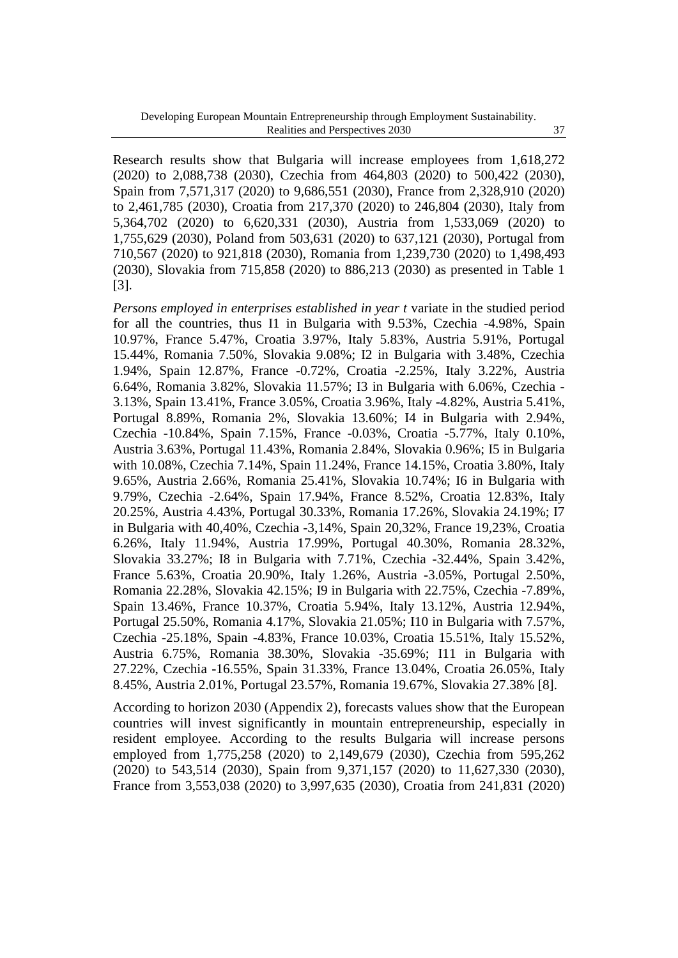Research results show that Bulgaria will increase employees from 1,618,272 (2020) to 2,088,738 (2030), Czechia from 464,803 (2020) to 500,422 (2030), Spain from 7,571,317 (2020) to 9,686,551 (2030), France from 2,328,910 (2020) to 2,461,785 (2030), Croatia from 217,370 (2020) to 246,804 (2030), Italy from 5,364,702 (2020) to 6,620,331 (2030), Austria from 1,533,069 (2020) to 1,755,629 (2030), Poland from 503,631 (2020) to 637,121 (2030), Portugal from 710,567 (2020) to 921,818 (2030), Romania from 1,239,730 (2020) to 1,498,493 (2030), Slovakia from 715,858 (2020) to 886,213 (2030) as presented in Table 1 [3].

*Persons employed in enterprises established in year t* variate in the studied period for all the countries, thus I1 in Bulgaria with 9.53%, Czechia -4.98%, Spain 10.97%, France 5.47%, Croatia 3.97%, Italy 5.83%, Austria 5.91%, Portugal 15.44%, Romania 7.50%, Slovakia 9.08%; I2 in Bulgaria with 3.48%, Czechia 1.94%, Spain 12.87%, France -0.72%, Croatia -2.25%, Italy 3.22%, Austria 6.64%, Romania 3.82%, Slovakia 11.57%; I3 in Bulgaria with 6.06%, Czechia - 3.13%, Spain 13.41%, France 3.05%, Croatia 3.96%, Italy -4.82%, Austria 5.41%, Portugal 8.89%, Romania 2%, Slovakia 13.60%; I4 in Bulgaria with 2.94%, Czechia -10.84%, Spain 7.15%, France -0.03%, Croatia -5.77%, Italy 0.10%, Austria 3.63%, Portugal 11.43%, Romania 2.84%, Slovakia 0.96%; I5 in Bulgaria with 10.08%, Czechia 7.14%, Spain 11.24%, France 14.15%, Croatia 3.80%, Italy 9.65%, Austria 2.66%, Romania 25.41%, Slovakia 10.74%; I6 in Bulgaria with 9.79%, Czechia -2.64%, Spain 17.94%, France 8.52%, Croatia 12.83%, Italy 20.25%, Austria 4.43%, Portugal 30.33%, Romania 17.26%, Slovakia 24.19%; I7 in Bulgaria with 40,40%, Czechia -3,14%, Spain 20,32%, France 19,23%, Croatia 6.26%, Italy 11.94%, Austria 17.99%, Portugal 40.30%, Romania 28.32%, Slovakia 33.27%; I8 in Bulgaria with 7.71%, Czechia -32.44%, Spain 3.42%, France 5.63%, Croatia 20.90%, Italy 1.26%, Austria -3.05%, Portugal 2.50%, Romania 22.28%, Slovakia 42.15%; I9 in Bulgaria with 22.75%, Czechia -7.89%, Spain 13.46%, France 10.37%, Croatia 5.94%, Italy 13.12%, Austria 12.94%, Portugal 25.50%, Romania 4.17%, Slovakia 21.05%; I10 in Bulgaria with 7.57%, Czechia -25.18%, Spain -4.83%, France 10.03%, Croatia 15.51%, Italy 15.52%, Austria 6.75%, Romania 38.30%, Slovakia -35.69%; I11 in Bulgaria with 27.22%, Czechia -16.55%, Spain 31.33%, France 13.04%, Croatia 26.05%, Italy 8.45%, Austria 2.01%, Portugal 23.57%, Romania 19.67%, Slovakia 27.38% [8].

According to horizon 2030 (Appendix 2), forecasts values show that the European countries will invest significantly in mountain entrepreneurship, especially in resident employee. According to the results Bulgaria will increase persons employed from 1,775,258 (2020) to 2,149,679 (2030), Czechia from 595,262 (2020) to 543,514 (2030), Spain from 9,371,157 (2020) to 11,627,330 (2030), France from 3,553,038 (2020) to 3,997,635 (2030), Croatia from 241,831 (2020)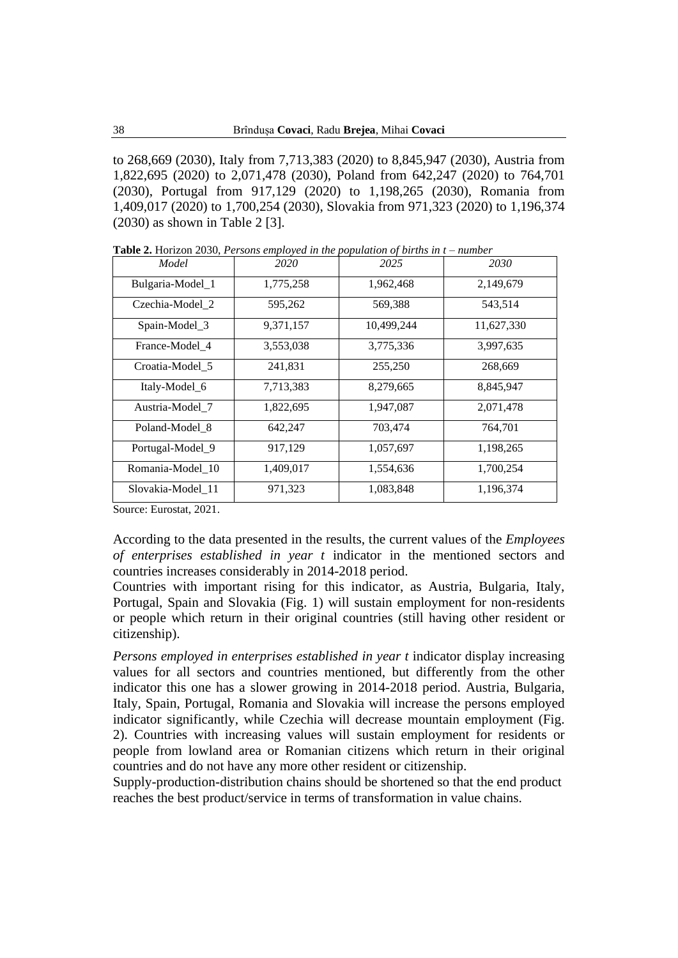to 268,669 (2030), Italy from 7,713,383 (2020) to 8,845,947 (2030), Austria from 1,822,695 (2020) to 2,071,478 (2030), Poland from 642,247 (2020) to 764,701 (2030), Portugal from 917,129 (2020) to 1,198,265 (2030), Romania from 1,409,017 (2020) to 1,700,254 (2030), Slovakia from 971,323 (2020) to 1,196,374 (2030) as shown in Table 2 [3].

| Model             | 2020      | 2025       | 2030       |
|-------------------|-----------|------------|------------|
| Bulgaria-Model_1  | 1,775,258 | 1,962,468  | 2,149,679  |
| Czechia-Model 2   | 595,262   | 569,388    | 543,514    |
| Spain-Model_3     | 9,371,157 | 10,499,244 | 11,627,330 |
| France-Model 4    | 3,553,038 | 3,775,336  | 3,997,635  |
| Croatia-Model 5   | 241,831   | 255,250    | 268,669    |
| Italy-Model_6     | 7,713,383 | 8,279,665  | 8,845,947  |
| Austria-Model 7   | 1,822,695 | 1,947,087  | 2,071,478  |
| Poland-Model 8    | 642,247   | 703,474    | 764,701    |
| Portugal-Model_9  | 917,129   | 1,057,697  | 1,198,265  |
| Romania-Model 10  | 1,409,017 | 1,554,636  | 1,700,254  |
| Slovakia-Model_11 | 971,323   | 1,083,848  | 1,196,374  |

**Table 2.** Horizon 2030, *Persons employed in the population of births in t – number*

Source: Eurostat, 2021.

According to the data presented in the results, the current values of the *Employees of enterprises established in year t* indicator in the mentioned sectors and countries increases considerably in 2014-2018 period.

Countries with important rising for this indicator, as Austria, Bulgaria, Italy, Portugal, Spain and Slovakia (Fig. 1) will sustain employment for non-residents or people which return in their original countries (still having other resident or citizenship).

*Persons employed in enterprises established in year t* indicator display increasing values for all sectors and countries mentioned, but differently from the other indicator this one has a slower growing in 2014-2018 period. Austria, Bulgaria, Italy, Spain, Portugal, Romania and Slovakia will increase the persons employed indicator significantly, while Czechia will decrease mountain employment (Fig. 2). Countries with increasing values will sustain employment for residents or people from lowland area or Romanian citizens which return in their original countries and do not have any more other resident or citizenship.

Supply-production-distribution chains should be shortened so that the end product reaches the best product/service in terms of transformation in value chains.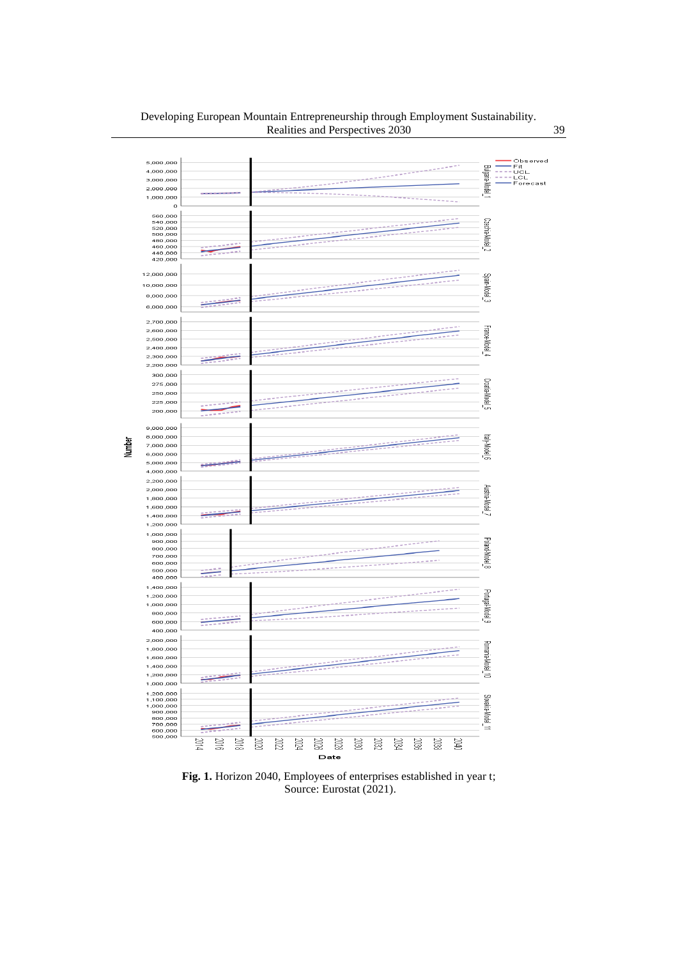#### Developing European Mountain Entrepreneurship through Employment Sustainability. Realities and Perspectives 2030 39



**Fig. 1.** Horizon 2040, Employees of enterprises established in year t; Source: Eurostat (2021).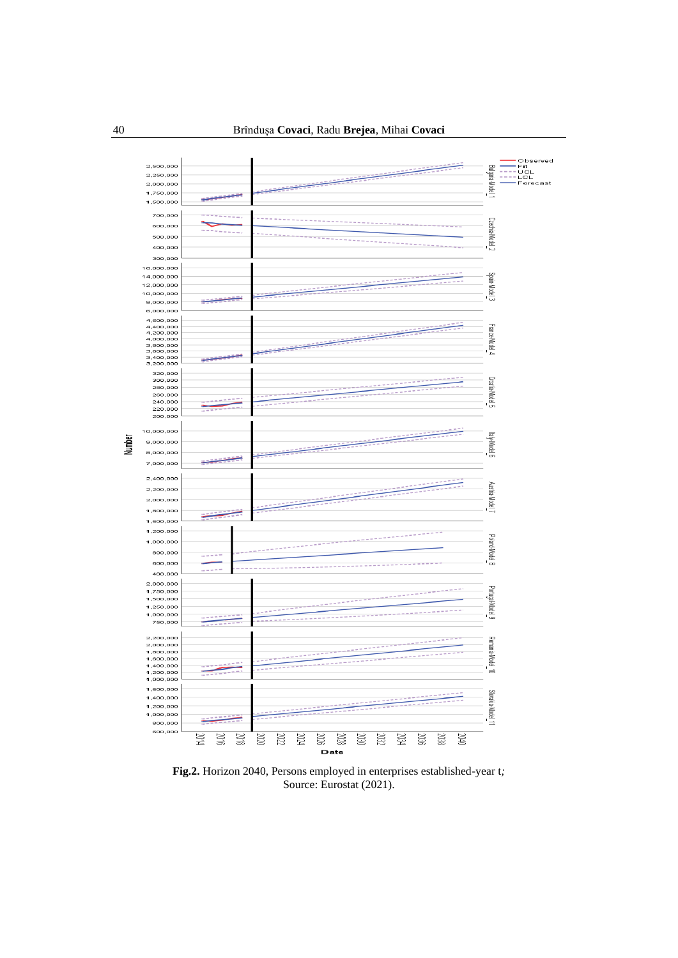

**Fig.2.** Horizon 2040, Persons employed in enterprises established-year t*;* Source: Eurostat (2021).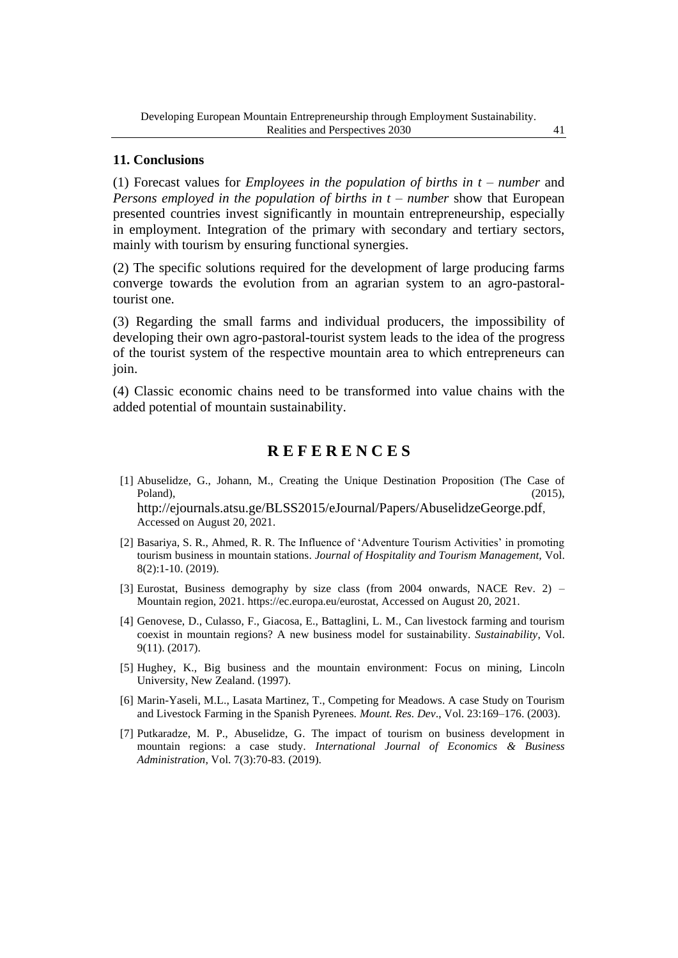### **11. Conclusions**

(1) Forecast values for *Employees in the population of births in t – number* and *Persons employed in the population of births in t – number* show that European presented countries invest significantly in mountain entrepreneurship, especially in employment. Integration of the primary with secondary and tertiary sectors, mainly with tourism by ensuring functional synergies.

(2) The specific solutions required for the development of large producing farms converge towards the evolution from an agrarian system to an agro-pastoraltourist one.

(3) Regarding the small farms and individual producers, the impossibility of developing their own agro-pastoral-tourist system leads to the idea of the progress of the tourist system of the respective mountain area to which entrepreneurs can join.

(4) Classic economic chains need to be transformed into value chains with the added potential of mountain sustainability.

## **R E F E R E N C E S**

- [1] Abuselidze, G., Johann, M., Creating the Unique Destination Proposition (The Case of Poland),  $(2015)$ ,  $(2015)$ <http://ejournals.atsu.ge/BLSS2015/eJournal/Papers/AbuselidzeGeorge.pdf>, Accessed on August 20, 2021.
- [2] Basariya, S. R., Ahmed, R. R. The Influence of 'Adventure Tourism Activities' in promoting tourism business in mountain stations. *Journal of Hospitality and Tourism Management,* Vol. 8(2):1-10. (2019).
- [3] Eurostat, Business demography by size class (from 2004 onwards, NACE Rev. 2) Mountain region, 2021. [https://ec.europa.eu/eurostat,](https://ec.europa.eu/eurostat) Accessed on August 20, 2021.
- [4] Genovese, D., Culasso, F., Giacosa, E., Battaglini, L. M., Can livestock farming and tourism coexist in mountain regions? A new business model for sustainability. *Sustainability*, Vol. 9(11). (2017).
- [5] Hughey, K., Big business and the mountain environment: Focus on mining, Lincoln University, New Zealand. (1997).
- [6] Marin-Yaseli, M.L., Lasata Martinez, T., Competing for Meadows. A case Study on Tourism and Livestock Farming in the Spanish Pyrenees. *Mount. Res. Dev*., Vol. 23:169–176. (2003).
- [7] Putkaradze, M. P., Abuselidze, G. The impact of tourism on business development in mountain regions: a case study. *International Journal of Economics & Business Administration*, Vol. 7(3):70-83. (2019).